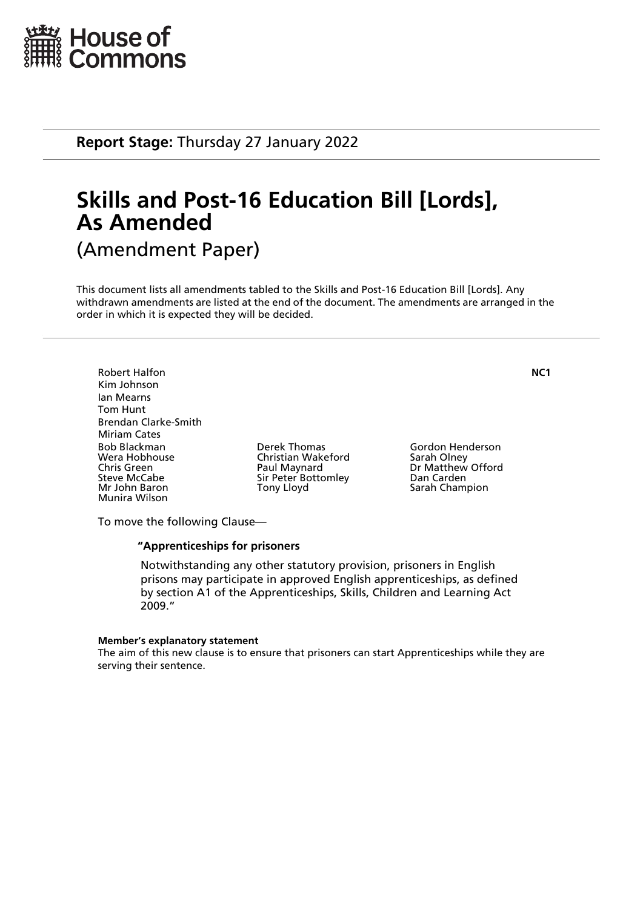

**Report Stage:** Thursday 27 January 2022

# **Skills and Post-16 Education Bill [Lords], As Amended** (Amendment Paper)

This document lists all amendments tabled to the Skills and Post-16 Education Bill [Lords]. Any withdrawn amendments are listed at the end of the document. The amendments are arranged in the order in which it is expected they will be decided.

Robert Halfon **NC1** Kim Johnson Ian Mearns Tom Hunt Brendan Clarke-Smith Miriam Cates Bob Blackman Derek Thomas Gordon Henderson Chris Green **Paul Maynard** Dr Matthew Offord<br>
Sir Peter Bottomley Dan Carden<br>
Dan Carden Steve McCabe Sir Peter Bottomley<br>
Mr John Baron Sir Pony Lloyd Munira Wilson

Christian Wakeford<br>Paul Maynard

Sarah Champion

To move the following Clause—

#### **"Apprenticeships for prisoners**

 Notwithstanding any other statutory provision, prisoners in English prisons may participate in approved English apprenticeships, as defined by section A1 of the Apprenticeships, Skills, Children and Learning Act 2009."

#### **Member's explanatory statement**

The aim of this new clause is to ensure that prisoners can start Apprenticeships while they are serving their sentence.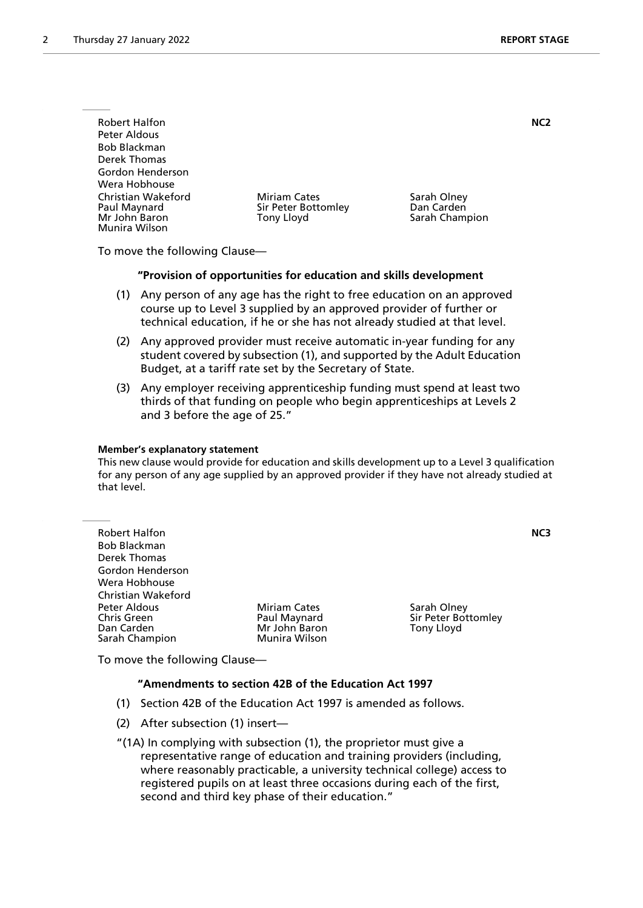| <b>Robert Halfon</b>                                                 |                                                          |                                             | NC <sub>2</sub> |
|----------------------------------------------------------------------|----------------------------------------------------------|---------------------------------------------|-----------------|
| Peter Aldous                                                         |                                                          |                                             |                 |
| <b>Bob Blackman</b>                                                  |                                                          |                                             |                 |
| Derek Thomas                                                         |                                                          |                                             |                 |
| Gordon Henderson                                                     |                                                          |                                             |                 |
| Wera Hobhouse                                                        |                                                          |                                             |                 |
| Christian Wakeford<br>Paul Maynard<br>Mr John Baron<br>Munira Wilson | <b>Miriam Cates</b><br>Sir Peter Bottomley<br>Tony Lloyd | Sarah Olney<br>Dan Carden<br>Sarah Champion |                 |

To move the following Clause—

#### **"Provision of opportunities for education and skills development**

- (1) Any person of any age has the right to free education on an approved course up to Level 3 supplied by an approved provider of further or technical education, if he or she has not already studied at that level.
- (2) Any approved provider must receive automatic in-year funding for any student covered by subsection (1), and supported by the Adult Education Budget, at a tariff rate set by the Secretary of State.
- (3) Any employer receiving apprenticeship funding must spend at least two thirds of that funding on people who begin apprenticeships at Levels 2 and 3 before the age of 25."

#### **Member's explanatory statement**

This new clause would provide for education and skills development up to a Level 3 qualification for any person of any age supplied by an approved provider if they have not already studied at that level.

| <b>Robert Halfon</b><br><b>Bob Blackman</b><br>Derek Thomas |                     |                     | NC3 |
|-------------------------------------------------------------|---------------------|---------------------|-----|
| Gordon Henderson                                            |                     |                     |     |
| Wera Hobhouse                                               |                     |                     |     |
| Christian Wakeford                                          |                     |                     |     |
|                                                             |                     |                     |     |
| Peter Aldous                                                | <b>Miriam Cates</b> | Sarah Olney         |     |
| <b>Chris Green</b>                                          | Paul Maynard        | Sir Peter Bottomley |     |
| Dan Carden                                                  | Mr John Baron       | Tony Lloyd          |     |
| Sarah Champion                                              | Munira Wilson       |                     |     |

To move the following Clause—

#### **"Amendments to section 42B of the Education Act 1997**

- (1) Section 42B of the Education Act 1997 is amended as follows.
- (2) After subsection (1) insert—

"(1A) In complying with subsection (1), the proprietor must give a representative range of education and training providers (including, where reasonably practicable, a university technical college) access to registered pupils on at least three occasions during each of the first, second and third key phase of their education."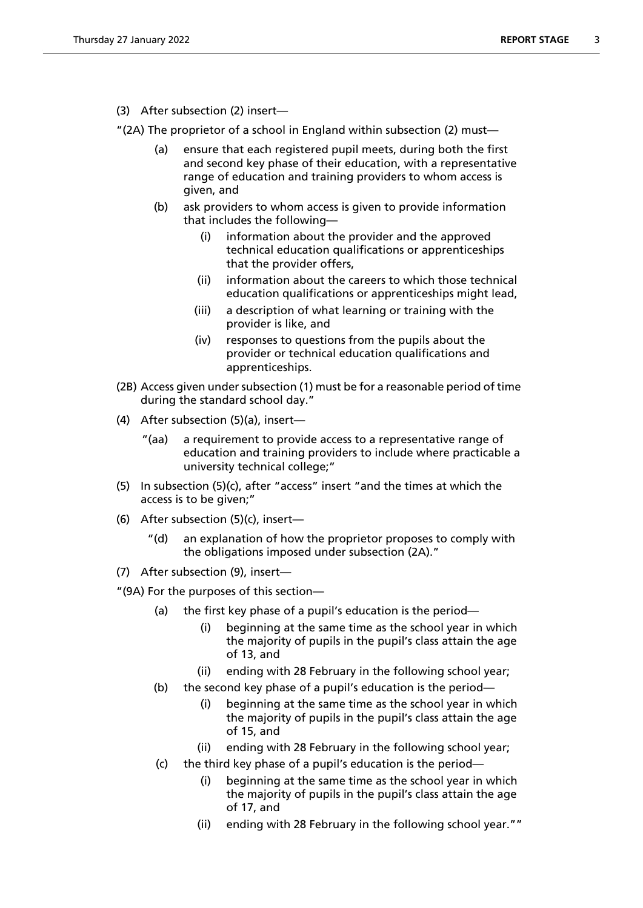(3) After subsection (2) insert—

"(2A) The proprietor of a school in England within subsection (2) must—

- (a) ensure that each registered pupil meets, during both the first and second key phase of their education, with a representative range of education and training providers to whom access is given, and
- (b) ask providers to whom access is given to provide information that includes the following—
	- (i) information about the provider and the approved technical education qualifications or apprenticeships that the provider offers,
	- (ii) information about the careers to which those technical education qualifications or apprenticeships might lead,
	- (iii) a description of what learning or training with the provider is like, and
	- (iv) responses to questions from the pupils about the provider or technical education qualifications and apprenticeships.
- (2B) Access given under subsection (1) must be for a reasonable period of time during the standard school day."
- (4) After subsection (5)(a), insert—
	- "(aa) a requirement to provide access to a representative range of education and training providers to include where practicable a university technical college;"
- (5) In subsection (5)(c), after "access" insert "and the times at which the access is to be given;"
- (6) After subsection (5)(c), insert
	- an explanation of how the proprietor proposes to comply with the obligations imposed under subsection (2A)."
- (7) After subsection (9), insert—

"(9A) For the purposes of this section—

- (a) the first key phase of a pupil's education is the period—
	- (i) beginning at the same time as the school year in which the majority of pupils in the pupil's class attain the age of 13, and
	- (ii) ending with 28 February in the following school year;
- (b) the second key phase of a pupil's education is the period—
	- (i) beginning at the same time as the school year in which the majority of pupils in the pupil's class attain the age of 15, and
	- (ii) ending with 28 February in the following school year;
- (c) the third key phase of a pupil's education is the period
	- beginning at the same time as the school year in which the majority of pupils in the pupil's class attain the age of 17, and
	- (ii) ending with 28 February in the following school year.""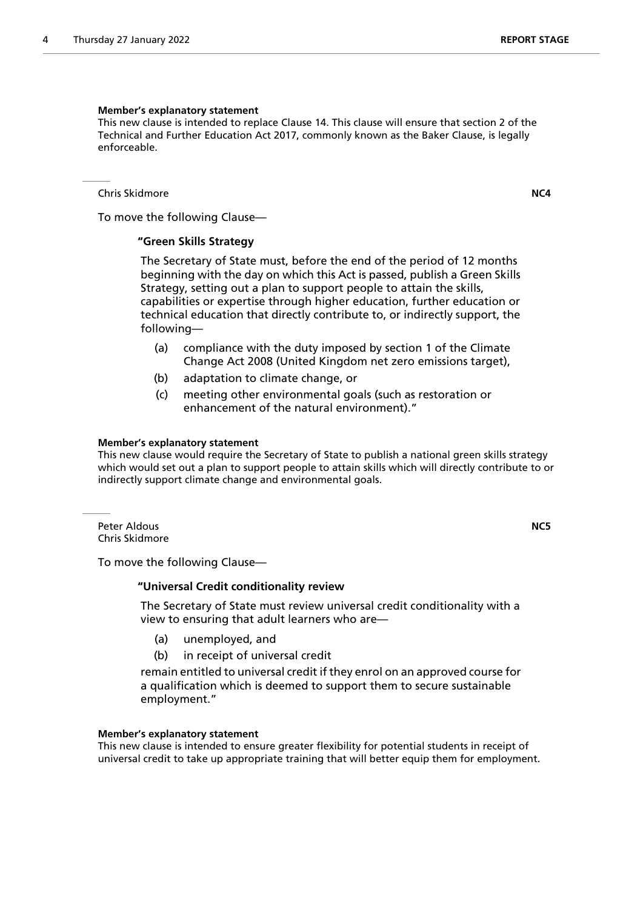#### **Member's explanatory statement**

This new clause is intended to replace Clause 14. This clause will ensure that section 2 of the Technical and Further Education Act 2017, commonly known as the Baker Clause, is legally enforceable.

Chris Skidmore **NC4**

To move the following Clause—

#### **"Green Skills Strategy**

 The Secretary of State must, before the end of the period of 12 months beginning with the day on which this Act is passed, publish a Green Skills Strategy, setting out a plan to support people to attain the skills, capabilities or expertise through higher education, further education or technical education that directly contribute to, or indirectly support, the following—

- (a) compliance with the duty imposed by section 1 of the Climate Change Act 2008 (United Kingdom net zero emissions target),
- (b) adaptation to climate change, or
- (c) meeting other environmental goals (such as restoration or enhancement of the natural environment)."

#### **Member's explanatory statement**

This new clause would require the Secretary of State to publish a national green skills strategy which would set out a plan to support people to attain skills which will directly contribute to or indirectly support climate change and environmental goals.

Peter Aldous **NC5** Chris Skidmore

To move the following Clause—

#### **"Universal Credit conditionality review**

 The Secretary of State must review universal credit conditionality with a view to ensuring that adult learners who are—

- (a) unemployed, and
- (b) in receipt of universal credit

remain entitled to universal credit if they enrol on an approved course for a qualification which is deemed to support them to secure sustainable employment."

#### **Member's explanatory statement**

This new clause is intended to ensure greater flexibility for potential students in receipt of universal credit to take up appropriate training that will better equip them for employment.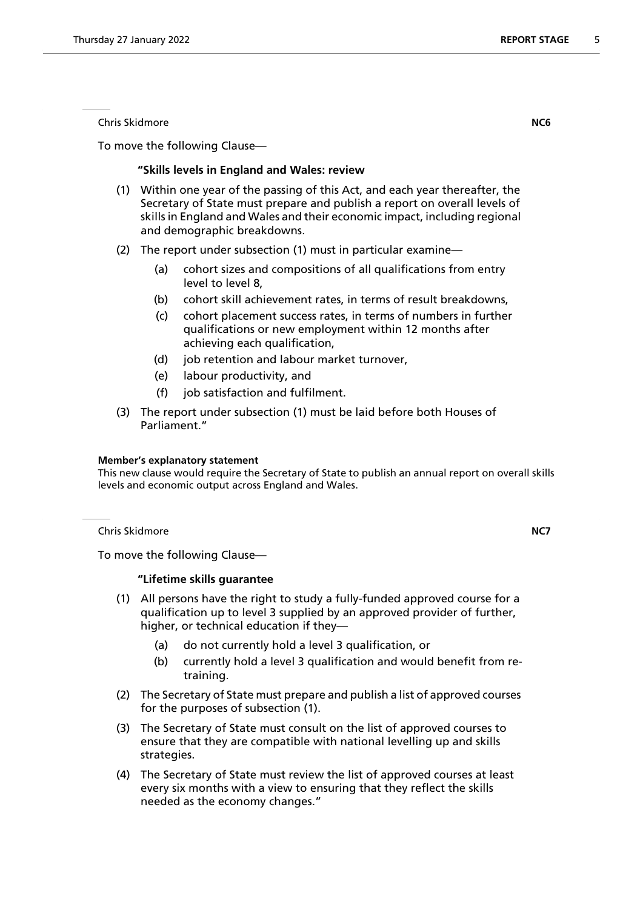Chris Skidmore **NC6**

To move the following Clause—

#### **"Skills levels in England and Wales: review**

- (1) Within one year of the passing of this Act, and each year thereafter, the Secretary of State must prepare and publish a report on overall levels of skills in England and Wales and their economic impact, including regional and demographic breakdowns.
- (2) The report under subsection (1) must in particular examine—
	- (a) cohort sizes and compositions of all qualifications from entry level to level 8,
	- (b) cohort skill achievement rates, in terms of result breakdowns,
	- (c) cohort placement success rates, in terms of numbers in further qualifications or new employment within 12 months after achieving each qualification,
	- (d) job retention and labour market turnover,
	- (e) labour productivity, and
	- (f) job satisfaction and fulfilment.
- (3) The report under subsection (1) must be laid before both Houses of Parliament."

#### **Member's explanatory statement**

This new clause would require the Secretary of State to publish an annual report on overall skills levels and economic output across England and Wales.

Chris Skidmore **NC7**

To move the following Clause—

#### **"Lifetime skills guarantee**

- (1) All persons have the right to study a fully-funded approved course for a qualification up to level 3 supplied by an approved provider of further, higher, or technical education if they—
	- (a) do not currently hold a level 3 qualification, or
	- (b) currently hold a level 3 qualification and would benefit from retraining.
- (2) The Secretary of State must prepare and publish a list of approved courses for the purposes of subsection (1).
- (3) The Secretary of State must consult on the list of approved courses to ensure that they are compatible with national levelling up and skills strategies.
- (4) The Secretary of State must review the list of approved courses at least every six months with a view to ensuring that they reflect the skills needed as the economy changes."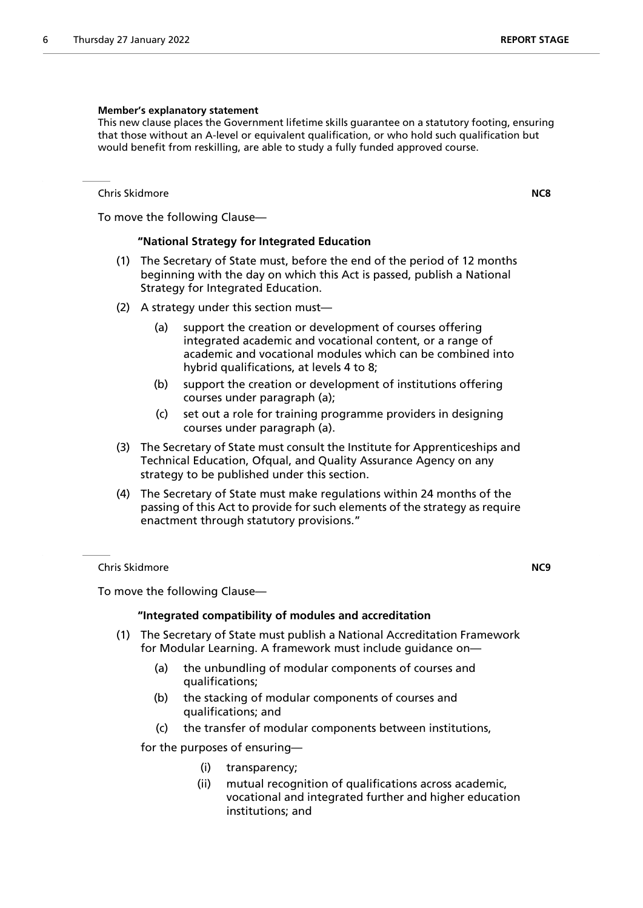#### **Member's explanatory statement**

This new clause places the Government lifetime skills guarantee on a statutory footing, ensuring that those without an A-level or equivalent qualification, or who hold such qualification but would benefit from reskilling, are able to study a fully funded approved course.

Chris Skidmore **NC8**

To move the following Clause—

#### **"National Strategy for Integrated Education**

- (1) The Secretary of State must, before the end of the period of 12 months beginning with the day on which this Act is passed, publish a National Strategy for Integrated Education.
- (2) A strategy under this section must—
	- (a) support the creation or development of courses offering integrated academic and vocational content, or a range of academic and vocational modules which can be combined into hybrid qualifications, at levels 4 to 8;
	- (b) support the creation or development of institutions offering courses under paragraph (a);
	- (c) set out a role for training programme providers in designing courses under paragraph (a).
- (3) The Secretary of State must consult the Institute for Apprenticeships and Technical Education, Ofqual, and Quality Assurance Agency on any strategy to be published under this section.
- (4) The Secretary of State must make regulations within 24 months of the passing of this Act to provide for such elements of the strategy as require enactment through statutory provisions."

Chris Skidmore **NC9**

To move the following Clause—

#### **"Integrated compatibility of modules and accreditation**

- (1) The Secretary of State must publish a National Accreditation Framework for Modular Learning. A framework must include guidance on—
	- (a) the unbundling of modular components of courses and qualifications;
	- (b) the stacking of modular components of courses and qualifications; and
	- (c) the transfer of modular components between institutions,

for the purposes of ensuring—

- (i) transparency;
- (ii) mutual recognition of qualifications across academic, vocational and integrated further and higher education institutions; and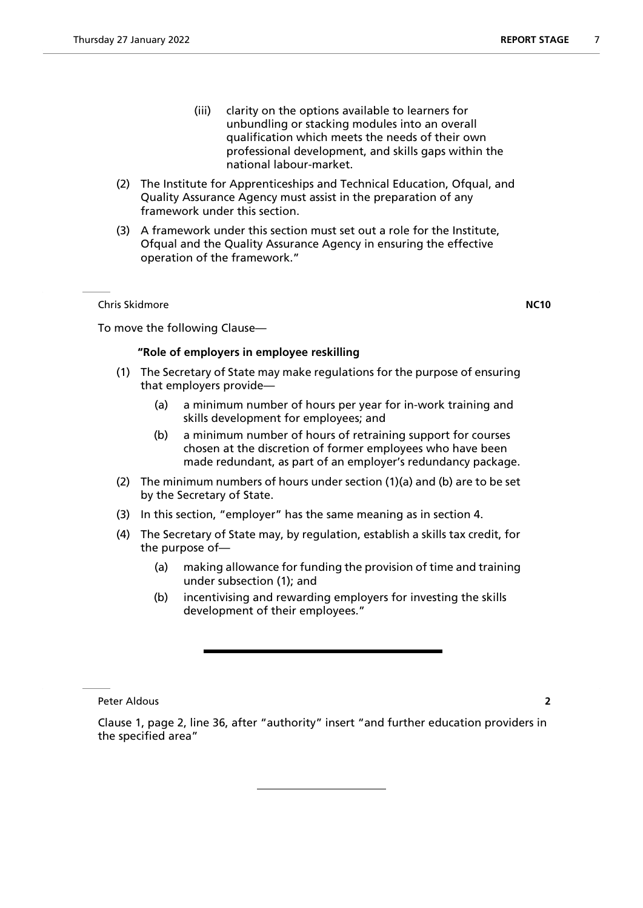- (iii) clarity on the options available to learners for unbundling or stacking modules into an overall
- qualification which meets the needs of their own professional development, and skills gaps within the national labour-market.
- (2) The Institute for Apprenticeships and Technical Education, Ofqual, and Quality Assurance Agency must assist in the preparation of any framework under this section.
- (3) A framework under this section must set out a role for the Institute, Ofqual and the Quality Assurance Agency in ensuring the effective operation of the framework."

Chris Skidmore **NC10**

To move the following Clause—

#### **"Role of employers in employee reskilling**

- (1) The Secretary of State may make regulations for the purpose of ensuring that employers provide—
	- (a) a minimum number of hours per year for in-work training and skills development for employees; and
	- (b) a minimum number of hours of retraining support for courses chosen at the discretion of former employees who have been made redundant, as part of an employer's redundancy package.
- (2) The minimum numbers of hours under section (1)(a) and (b) are to be set by the Secretary of State.
- (3) In this section, "employer" has the same meaning as in section 4.
- (4) The Secretary of State may, by regulation, establish a skills tax credit, for the purpose of—
	- (a) making allowance for funding the provision of time and training under subsection (1); and
	- (b) incentivising and rewarding employers for investing the skills development of their employees."

Peter Aldous **2**

Clause 1, page 2, line 36, after "authority" insert "and further education providers in the specified area"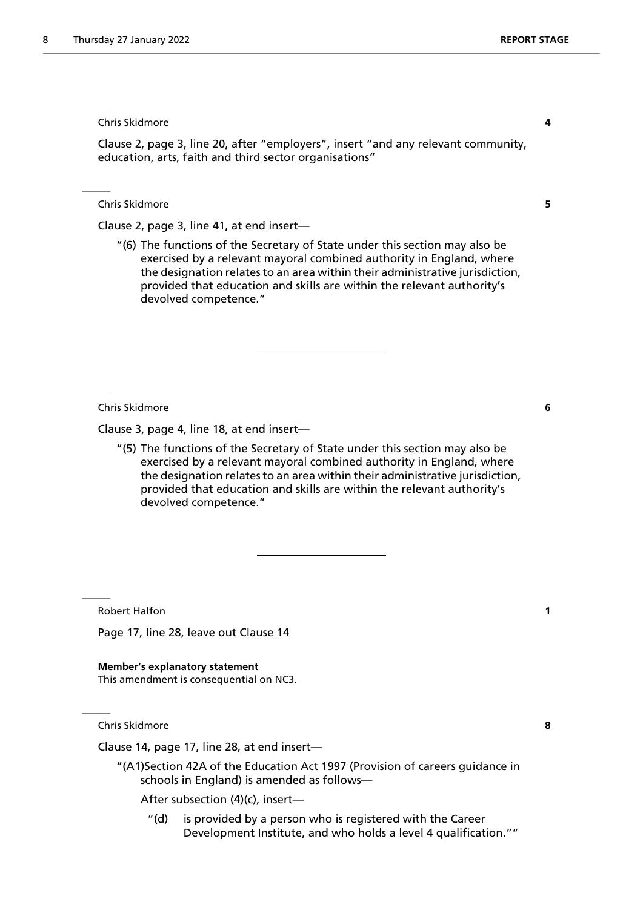Chris Skidmore **4**

Clause 2, page 3, line 20, after "employers", insert "and any relevant community, education, arts, faith and third sector organisations"

Chris Skidmore **5**

Clause 2, page 3, line 41, at end insert—

"(6) The functions of the Secretary of State under this section may also be exercised by a relevant mayoral combined authority in England, where the designation relates to an area within their administrative jurisdiction, provided that education and skills are within the relevant authority's devolved competence."

Chris Skidmore **6**

Clause 3, page 4, line 18, at end insert—

"(5) The functions of the Secretary of State under this section may also be exercised by a relevant mayoral combined authority in England, where the designation relates to an area within their administrative jurisdiction, provided that education and skills are within the relevant authority's devolved competence."

Robert Halfon **1**

Page 17, line 28, leave out Clause 14

**Member's explanatory statement** This amendment is consequential on NC3.

Chris Skidmore **8**

Clause 14, page 17, line 28, at end insert—

"(A1)Section 42A of the Education Act 1997 (Provision of careers guidance in schools in England) is amended as follows—

After subsection (4)(c), insert—

"(d) is provided by a person who is registered with the Career Development Institute, and who holds a level 4 qualification.""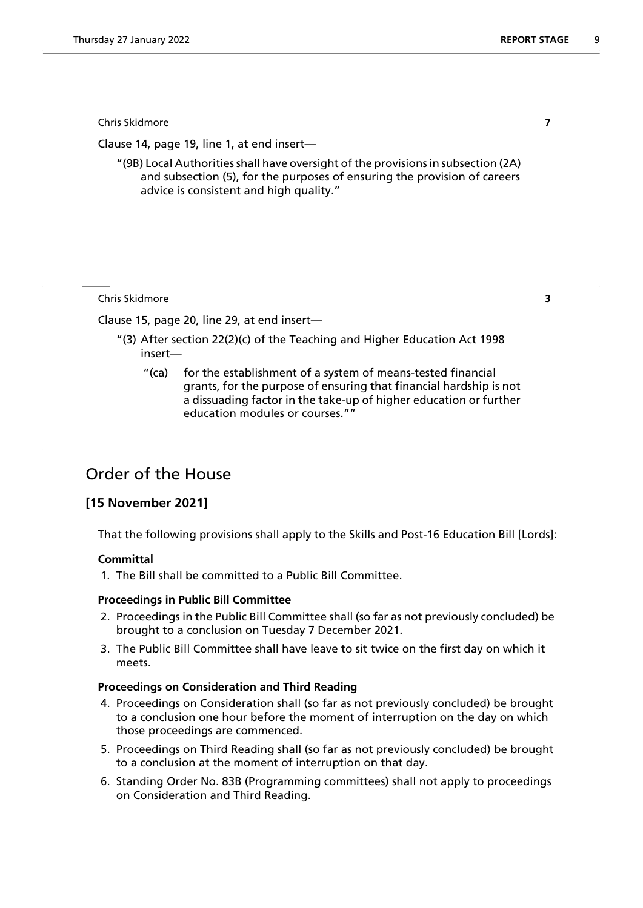Chris Skidmore **7**

Clause 14, page 19, line 1, at end insert—

"(9B) Local Authorities shall have oversight of the provisions in subsection (2A) and subsection (5), for the purposes of ensuring the provision of careers advice is consistent and high quality."

Chris Skidmore **3**

Clause 15, page 20, line 29, at end insert—

- "(3) After section 22(2)(c) of the Teaching and Higher Education Act 1998 insert—
	- "(ca) for the establishment of a system of means-tested financial grants, for the purpose of ensuring that financial hardship is not a dissuading factor in the take-up of higher education or further education modules or courses.""

# Order of the House

### **[15 November 2021]**

That the following provisions shall apply to the Skills and Post-16 Education Bill [Lords]:

#### **Committal**

1. The Bill shall be committed to a Public Bill Committee.

#### **Proceedings in Public Bill Committee**

- 2. Proceedings in the Public Bill Committee shall (so far as not previously concluded) be brought to a conclusion on Tuesday 7 December 2021.
- 3. The Public Bill Committee shall have leave to sit twice on the first day on which it meets.

#### **Proceedings on Consideration and Third Reading**

- 4. Proceedings on Consideration shall (so far as not previously concluded) be brought to a conclusion one hour before the moment of interruption on the day on which those proceedings are commenced.
- 5. Proceedings on Third Reading shall (so far as not previously concluded) be brought to a conclusion at the moment of interruption on that day.
- 6. Standing Order No. 83B (Programming committees) shall not apply to proceedings on Consideration and Third Reading.